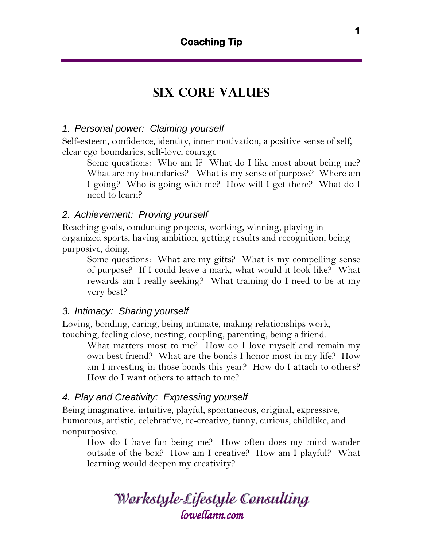# **Six core values**

## *1. Personal power: Claiming yourself*

Self-esteem, confidence, identity, inner motivation, a positive sense of self, clear ego boundaries, self-love, courage

Some questions: Who am I? What do I like most about being me? What are my boundaries? What is my sense of purpose? Where am I going? Who is going with me? How will I get there? What do I need to learn?

#### *2. Achievement: Proving yourself*

Reaching goals, conducting projects, working, winning, playing in organized sports, having ambition, getting results and recognition, being purposive, doing.

Some questions: What are my gifts? What is my compelling sense of purpose? If I could leave a mark, what would it look like? What rewards am I really seeking? What training do I need to be at my very best?

#### *3. Intimacy: Sharing yourself*

Loving, bonding, caring, being intimate, making relationships work, touching, feeling close, nesting, coupling, parenting, being a friend.

What matters most to me? How do I love myself and remain my own best friend? What are the bonds I honor most in my life? How am I investing in those bonds this year? How do I attach to others? How do I want others to attach to me?

#### *4. Play and Creativity: Expressing yourself*

Being imaginative, intuitive, playful, spontaneous, original, expressive, humorous, artistic, celebrative, re-creative, funny, curious, childlike, and nonpurposive.

How do I have fun being me? How often does my mind wander outside of the box? How am I creative? How am I playful? What learning would deepen my creativity?